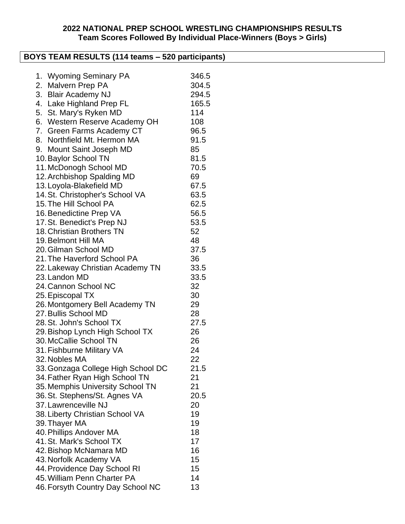### **2022 NATIONAL PREP SCHOOL WRESTLING CHAMPIONSHIPS RESULTS Team Scores Followed By Individual Place-Winners (Boys > Girls)**

| BOYS TEAM RESULTS (114 teams – 520 participants)                   |       |  |  |
|--------------------------------------------------------------------|-------|--|--|
|                                                                    |       |  |  |
| 1. Wyoming Seminary PA                                             | 346.5 |  |  |
| 2. Malvern Prep PA                                                 | 304.5 |  |  |
| 3. Blair Academy NJ                                                | 294.5 |  |  |
| 4. Lake Highland Prep FL                                           | 165.5 |  |  |
| 5. St. Mary's Ryken MD                                             | 114   |  |  |
| 6. Western Reserve Academy OH                                      | 108   |  |  |
| 7. Green Farms Academy CT                                          | 96.5  |  |  |
| 8. Northfield Mt. Hermon MA                                        | 91.5  |  |  |
| 9. Mount Saint Joseph MD                                           | 85    |  |  |
| 10. Baylor School TN                                               | 81.5  |  |  |
| 11. McDonogh School MD                                             | 70.5  |  |  |
| 12. Archbishop Spalding MD                                         | 69    |  |  |
| 13. Loyola-Blakefield MD                                           | 67.5  |  |  |
| 14. St. Christopher's School VA                                    | 63.5  |  |  |
| 15. The Hill School PA                                             | 62.5  |  |  |
| 16. Benedictine Prep VA                                            | 56.5  |  |  |
| 17. St. Benedict's Prep NJ                                         | 53.5  |  |  |
| 18. Christian Brothers TN                                          | 52    |  |  |
| 19. Belmont Hill MA                                                | 48    |  |  |
| 20. Gilman School MD                                               | 37.5  |  |  |
| 21. The Haverford School PA                                        | 36    |  |  |
| 22. Lakeway Christian Academy TN                                   | 33.5  |  |  |
| 23. Landon MD                                                      | 33.5  |  |  |
| 24. Cannon School NC                                               | 32    |  |  |
| 25. Episcopal TX                                                   | 30    |  |  |
| 26. Montgomery Bell Academy TN                                     | 29    |  |  |
| 27. Bullis School MD                                               | 28    |  |  |
| 28. St. John's School TX                                           | 27.5  |  |  |
| 29. Bishop Lynch High School TX                                    | 26    |  |  |
| 30. McCallie School TN                                             | 26    |  |  |
| 31. Fishburne Military VA                                          | 24    |  |  |
| 32. Nobles MA                                                      | 22    |  |  |
| 33. Gonzaga College High School DC                                 | 21.5  |  |  |
|                                                                    | 21    |  |  |
| 34. Father Ryan High School TN<br>35. Memphis University School TN | 21    |  |  |
|                                                                    | 20.5  |  |  |
| 36. St. Stephens/St. Agnes VA<br>37. Lawrenceville NJ              |       |  |  |
|                                                                    | 20    |  |  |
| 38. Liberty Christian School VA                                    | 19    |  |  |
| 39. Thayer MA                                                      | 19    |  |  |
| 40. Phillips Andover MA                                            | 18    |  |  |
| 41. St. Mark's School TX                                           | 17    |  |  |
| 42. Bishop McNamara MD                                             | 16    |  |  |
| 43. Norfolk Academy VA                                             | 15    |  |  |
| 44. Providence Day School RI                                       | 15    |  |  |
| 45. William Penn Charter PA                                        | 14    |  |  |
| 46. Forsyth Country Day School NC                                  | 13    |  |  |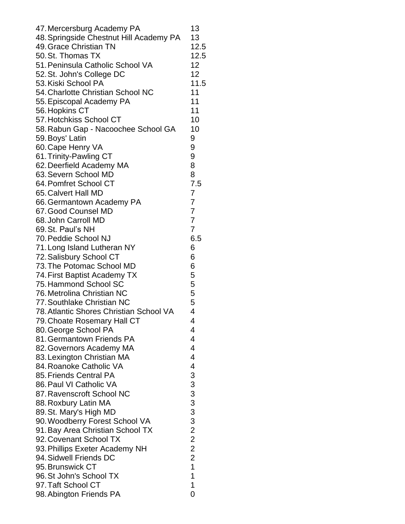| 47. Mercersburg Academy PA              | 13              |
|-----------------------------------------|-----------------|
| 48. Springside Chestnut Hill Academy PA | 13              |
| 49. Grace Christian TN                  | 12.5            |
| 50. St. Thomas TX                       | 12.5            |
| 51. Peninsula Catholic School VA        | 12              |
|                                         | 12 <sup>°</sup> |
| 52. St. John's College DC               |                 |
| 53. Kiski School PA                     | 11.5            |
| 54. Charlotte Christian School NC       | 11              |
| 55. Episcopal Academy PA                | 11              |
| 56. Hopkins CT                          | 11              |
| 57. Hotchkiss School CT                 | 10              |
| 58. Rabun Gap - Nacoochee School GA     | 10              |
| 59. Boys' Latin                         | 9               |
| 60. Cape Henry VA                       | 9               |
| 61. Trinity-Pawling CT                  | 9               |
| 62. Deerfield Academy MA                | 8               |
| 63. Severn School MD                    | 8               |
| 64. Pomfret School CT                   | 7.5             |
| 65. Calvert Hall MD                     | 7               |
| 66. Germantown Academy PA               | $\overline{7}$  |
| 67. Good Counsel MD                     | $\overline{7}$  |
| 68. John Carroll MD                     | $\overline{7}$  |
| 69. St. Paul's NH                       | $\overline{7}$  |
|                                         |                 |
| 70. Peddie School NJ                    | 6.5             |
| 71. Long Island Lutheran NY             | 6               |
| 72. Salisbury School CT                 | 6               |
| 73. The Potomac School MD               | 6               |
| 74. First Baptist Academy TX            | 5               |
| 75. Hammond School SC                   | 5               |
| 76. Metrolina Christian NC              | 5               |
| 77. Southlake Christian NC              | 5               |
| 78. Atlantic Shores Christian School VA | 4               |
| 79. Choate Rosemary Hall CT             | 4               |
| 80. George School PA                    | 4               |
| 81. Germantown Friends PA               | 4               |
| 82. Governors Academy MA                | $\overline{4}$  |
| 83. Lexington Christian MA              | $\overline{4}$  |
| 84. Roanoke Catholic VA                 | $\overline{4}$  |
| 85. Friends Central PA                  |                 |
| 86. Paul VI Catholic VA                 | 3333322         |
| 87. Ravenscroft School NC               |                 |
|                                         |                 |
| 88. Roxbury Latin MA                    |                 |
| 89. St. Mary's High MD                  |                 |
| 90. Woodberry Forest School VA          |                 |
| 91. Bay Area Christian School TX        |                 |
| 92. Covenant School TX                  |                 |
| 93. Phillips Exeter Academy NH          | $\overline{c}$  |
| 94. Sidwell Friends DC                  | $\overline{2}$  |
| 95. Brunswick CT                        | $\overline{1}$  |
| 96. St John's School TX                 | 1               |
| 97. Taft School CT                      | 1               |
| 98. Abington Friends PA                 | 0               |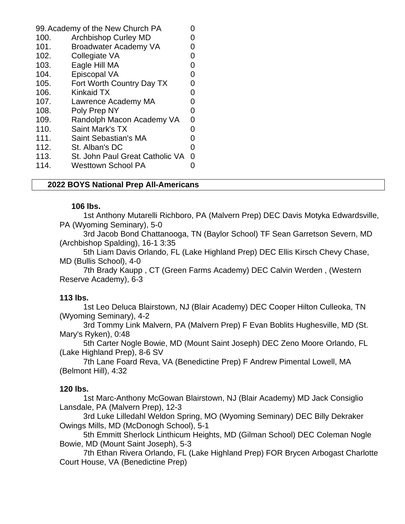| 99. Academy of the New Church PA |                                 |                   |
|----------------------------------|---------------------------------|-------------------|
| 100.                             | <b>Archbishop Curley MD</b>     |                   |
| 101.                             | Broadwater Academy VA           |                   |
| 102.                             | Collegiate VA                   | O                 |
| 103.                             | Eagle Hill MA                   |                   |
| 104.                             | Episcopal VA                    | O                 |
| 105.                             | Fort Worth Country Day TX       | $\mathbf{\Omega}$ |
| 106.                             | <b>Kinkaid TX</b>               |                   |
| 107.                             | Lawrence Academy MA             | O                 |
| 108.                             | Poly Prep NY                    | 0                 |
| 109.                             | Randolph Macon Academy VA       | 0                 |
| 110.                             | Saint Mark's TX                 | O                 |
| 111.                             | Saint Sebastian's MA            | 0                 |
| 112.                             | St. Alban's DC                  | 0                 |
| 113.                             | St. John Paul Great Catholic VA | 0                 |
| 114.                             | <b>Westtown School PA</b>       |                   |

#### **2022 BOYS National Prep All-Americans**

#### **106 lbs.**

1st Anthony Mutarelli Richboro, PA (Malvern Prep) DEC Davis Motyka Edwardsville, PA (Wyoming Seminary), 5-0

3rd Jacob Bond Chattanooga, TN (Baylor School) TF Sean Garretson Severn, MD (Archbishop Spalding), 16-1 3:35

5th Liam Davis Orlando, FL (Lake Highland Prep) DEC Ellis Kirsch Chevy Chase, MD (Bullis School), 4-0

7th Brady Kaupp , CT (Green Farms Academy) DEC Calvin Werden , (Western Reserve Academy), 6-3

#### **113 lbs.**

1st Leo Deluca Blairstown, NJ (Blair Academy) DEC Cooper Hilton Culleoka, TN (Wyoming Seminary), 4-2

3rd Tommy Link Malvern, PA (Malvern Prep) F Evan Boblits Hughesville, MD (St. Mary's Ryken), 0:48

5th Carter Nogle Bowie, MD (Mount Saint Joseph) DEC Zeno Moore Orlando, FL (Lake Highland Prep), 8-6 SV

7th Lane Foard Reva, VA (Benedictine Prep) F Andrew Pimental Lowell, MA (Belmont Hill), 4:32

#### **120 lbs.**

1st Marc-Anthony McGowan Blairstown, NJ (Blair Academy) MD Jack Consiglio Lansdale, PA (Malvern Prep), 12-3

3rd Luke Lilledahl Weldon Spring, MO (Wyoming Seminary) DEC Billy Dekraker Owings Mills, MD (McDonogh School), 5-1

5th Emmitt Sherlock Linthicum Heights, MD (Gilman School) DEC Coleman Nogle Bowie, MD (Mount Saint Joseph), 5-3

7th Ethan Rivera Orlando, FL (Lake Highland Prep) FOR Brycen Arbogast Charlotte Court House, VA (Benedictine Prep)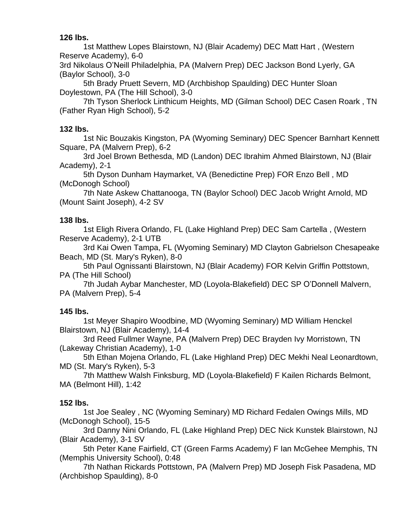**126 lbs.**

1st Matthew Lopes Blairstown, NJ (Blair Academy) DEC Matt Hart , (Western Reserve Academy), 6-0

3rd Nikolaus O'Neill Philadelphia, PA (Malvern Prep) DEC Jackson Bond Lyerly, GA (Baylor School), 3-0

5th Brady Pruett Severn, MD (Archbishop Spaulding) DEC Hunter Sloan Doylestown, PA (The Hill School), 3-0

7th Tyson Sherlock Linthicum Heights, MD (Gilman School) DEC Casen Roark , TN (Father Ryan High School), 5-2

### **132 lbs.**

1st Nic Bouzakis Kingston, PA (Wyoming Seminary) DEC Spencer Barnhart Kennett Square, PA (Malvern Prep), 6-2

3rd Joel Brown Bethesda, MD (Landon) DEC Ibrahim Ahmed Blairstown, NJ (Blair Academy), 2-1

5th Dyson Dunham Haymarket, VA (Benedictine Prep) FOR Enzo Bell , MD (McDonogh School)

7th Nate Askew Chattanooga, TN (Baylor School) DEC Jacob Wright Arnold, MD (Mount Saint Joseph), 4-2 SV

### **138 lbs.**

1st Eligh Rivera Orlando, FL (Lake Highland Prep) DEC Sam Cartella , (Western Reserve Academy), 2-1 UTB

3rd Kai Owen Tampa, FL (Wyoming Seminary) MD Clayton Gabrielson Chesapeake Beach, MD (St. Mary's Ryken), 8-0

5th Paul Ognissanti Blairstown, NJ (Blair Academy) FOR Kelvin Griffin Pottstown, PA (The Hill School)

7th Judah Aybar Manchester, MD (Loyola-Blakefield) DEC SP O'Donnell Malvern, PA (Malvern Prep), 5-4

# **145 lbs.**

1st Meyer Shapiro Woodbine, MD (Wyoming Seminary) MD William Henckel Blairstown, NJ (Blair Academy), 14-4

3rd Reed Fullmer Wayne, PA (Malvern Prep) DEC Brayden Ivy Morristown, TN (Lakeway Christian Academy), 1-0

5th Ethan Mojena Orlando, FL (Lake Highland Prep) DEC Mekhi Neal Leonardtown, MD (St. Mary's Ryken), 5-3

7th Matthew Walsh Finksburg, MD (Loyola-Blakefield) F Kailen Richards Belmont, MA (Belmont Hill), 1:42

# **152 lbs.**

1st Joe Sealey , NC (Wyoming Seminary) MD Richard Fedalen Owings Mills, MD (McDonogh School), 15-5

3rd Danny Nini Orlando, FL (Lake Highland Prep) DEC Nick Kunstek Blairstown, NJ (Blair Academy), 3-1 SV

5th Peter Kane Fairfield, CT (Green Farms Academy) F Ian McGehee Memphis, TN (Memphis University School), 0:48

7th Nathan Rickards Pottstown, PA (Malvern Prep) MD Joseph Fisk Pasadena, MD (Archbishop Spaulding), 8-0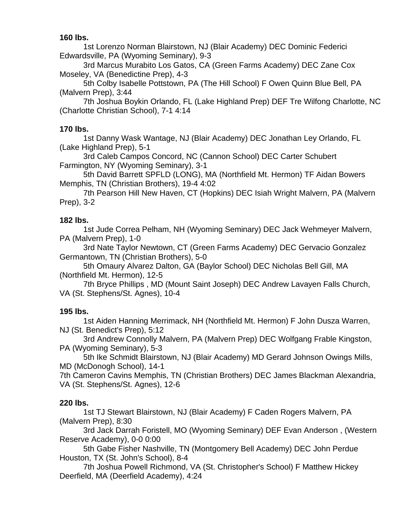**160 lbs.**

1st Lorenzo Norman Blairstown, NJ (Blair Academy) DEC Dominic Federici Edwardsville, PA (Wyoming Seminary), 9-3

3rd Marcus Murabito Los Gatos, CA (Green Farms Academy) DEC Zane Cox Moseley, VA (Benedictine Prep), 4-3

5th Colby Isabelle Pottstown, PA (The Hill School) F Owen Quinn Blue Bell, PA (Malvern Prep), 3:44

7th Joshua Boykin Orlando, FL (Lake Highland Prep) DEF Tre Wilfong Charlotte, NC (Charlotte Christian School), 7-1 4:14

### **170 lbs.**

1st Danny Wask Wantage, NJ (Blair Academy) DEC Jonathan Ley Orlando, FL (Lake Highland Prep), 5-1

3rd Caleb Campos Concord, NC (Cannon School) DEC Carter Schubert Farmington, NY (Wyoming Seminary), 3-1

5th David Barrett SPFLD (LONG), MA (Northfield Mt. Hermon) TF Aidan Bowers Memphis, TN (Christian Brothers), 19-4 4:02

7th Pearson Hill New Haven, CT (Hopkins) DEC Isiah Wright Malvern, PA (Malvern Prep), 3-2

#### **182 lbs.**

1st Jude Correa Pelham, NH (Wyoming Seminary) DEC Jack Wehmeyer Malvern, PA (Malvern Prep), 1-0

3rd Nate Taylor Newtown, CT (Green Farms Academy) DEC Gervacio Gonzalez Germantown, TN (Christian Brothers), 5-0

5th Omaury Alvarez Dalton, GA (Baylor School) DEC Nicholas Bell Gill, MA (Northfield Mt. Hermon), 12-5

7th Bryce Phillips , MD (Mount Saint Joseph) DEC Andrew Lavayen Falls Church, VA (St. Stephens/St. Agnes), 10-4

### **195 lbs.**

1st Aiden Hanning Merrimack, NH (Northfield Mt. Hermon) F John Dusza Warren, NJ (St. Benedict's Prep), 5:12

3rd Andrew Connolly Malvern, PA (Malvern Prep) DEC Wolfgang Frable Kingston, PA (Wyoming Seminary), 5-3

5th Ike Schmidt Blairstown, NJ (Blair Academy) MD Gerard Johnson Owings Mills, MD (McDonogh School), 14-1

7th Cameron Cavins Memphis, TN (Christian Brothers) DEC James Blackman Alexandria, VA (St. Stephens/St. Agnes), 12-6

### **220 lbs.**

1st TJ Stewart Blairstown, NJ (Blair Academy) F Caden Rogers Malvern, PA (Malvern Prep), 8:30

3rd Jack Darrah Foristell, MO (Wyoming Seminary) DEF Evan Anderson , (Western Reserve Academy), 0-0 0:00

5th Gabe Fisher Nashville, TN (Montgomery Bell Academy) DEC John Perdue Houston, TX (St. John's School), 8-4

7th Joshua Powell Richmond, VA (St. Christopher's School) F Matthew Hickey Deerfield, MA (Deerfield Academy), 4:24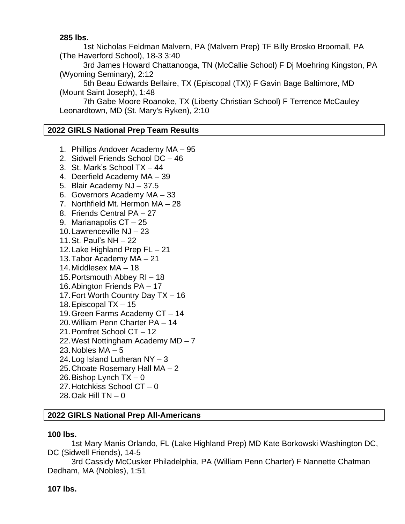#### **285 lbs.**

1st Nicholas Feldman Malvern, PA (Malvern Prep) TF Billy Brosko Broomall, PA (The Haverford School), 18-3 3:40

3rd James Howard Chattanooga, TN (McCallie School) F Dj Moehring Kingston, PA (Wyoming Seminary), 2:12

5th Beau Edwards Bellaire, TX (Episcopal (TX)) F Gavin Bage Baltimore, MD (Mount Saint Joseph), 1:48

7th Gabe Moore Roanoke, TX (Liberty Christian School) F Terrence McCauley Leonardtown, MD (St. Mary's Ryken), 2:10

#### **2022 GIRLS National Prep Team Results**

- 1. Phillips Andover Academy MA 95
- 2. Sidwell Friends School DC 46
- 3. St. Mark's School TX 44
- 4. Deerfield Academy MA 39
- 5. Blair Academy NJ 37.5
- 6. Governors Academy MA 33
- 7. Northfield Mt. Hermon MA 28
- 8. Friends Central PA 27
- 9. Marianapolis CT 25
- 10.Lawrenceville NJ 23
- 11.St. Paul's NH 22
- 12.Lake Highland Prep FL 21
- 13.Tabor Academy MA 21
- 14.Middlesex MA 18
- 15.Portsmouth Abbey RI 18
- 16.Abington Friends PA 17
- 17.Fort Worth Country Day TX 16
- 18.Episcopal TX 15
- 19.Green Farms Academy CT 14
- 20.William Penn Charter PA 14
- 21.Pomfret School CT 12
- 22.West Nottingham Academy MD 7
- 23. Nobles  $MA 5$
- 24.Log Island Lutheran NY 3
- 25.Choate Rosemary Hall MA 2
- 26. Bishop Lynch  $TX 0$
- 27.Hotchkiss School CT 0
- 28.Oak Hill TN 0

### **2022 GIRLS National Prep All-Americans**

#### **100 lbs.**

1st Mary Manis Orlando, FL (Lake Highland Prep) MD Kate Borkowski Washington DC, DC (Sidwell Friends), 14-5

3rd Cassidy McCusker Philadelphia, PA (William Penn Charter) F Nannette Chatman Dedham, MA (Nobles), 1:51